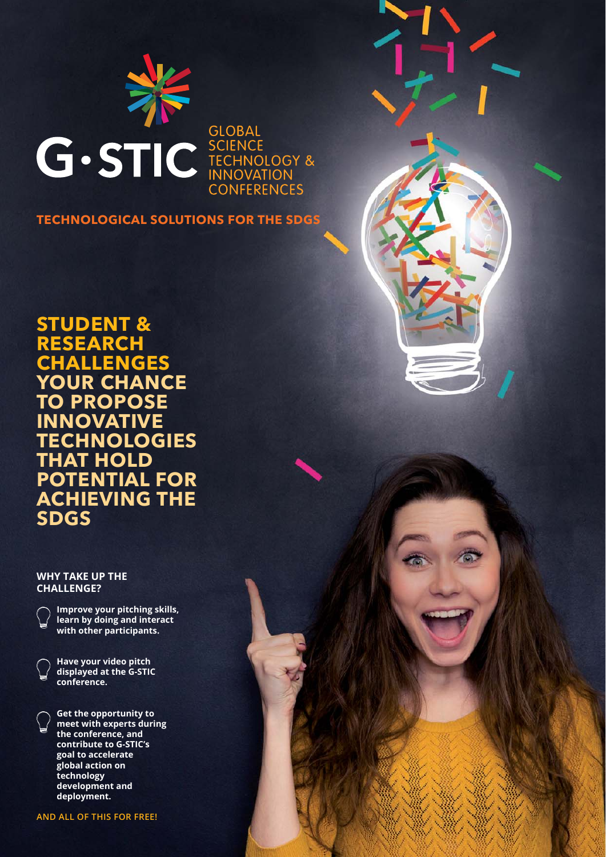

**CONFERENCES** 

**TECHNOLOGICAL SOLUTIONS FOR THE SDGS**

**STUDENT & RESEARCH CHALLENGES YOUR CHANCE TO PROPOSE INNOVATIVE TECHNOLOGIES THAT HOLD POTENTIAL FOR ACHIEVING THE SDGS**

## **WHY TAKE UP THE CHALLENGE?**



**Improve your pitching skills, learn by doing and interact with other participants.**

**Have your video pitch displayed at the G-STIC conference.**

**Get the opportunity to meet with experts during the conference, and contribute to G-STIC's goal to accelerate global action on technology development and deployment.**